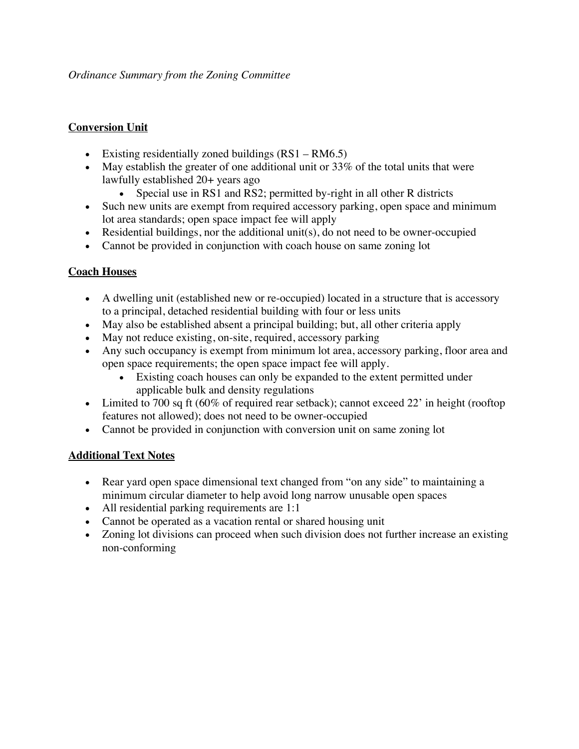## **Conversion Unit**

- Existing residentially zoned buildings  $(RS1 RM6.5)$
- May establish the greater of one additional unit or 33% of the total units that were lawfully established 20+ years ago
	- Special use in RS1 and RS2; permitted by-right in all other R districts
- Such new units are exempt from required accessory parking, open space and minimum lot area standards; open space impact fee will apply
- Residential buildings, nor the additional unit(s), do not need to be owner-occupied
- Cannot be provided in conjunction with coach house on same zoning lot

## **Coach Houses**

- A dwelling unit (established new or re-occupied) located in a structure that is accessory to a principal, detached residential building with four or less units
- May also be established absent a principal building; but, all other criteria apply
- May not reduce existing, on-site, required, accessory parking
- Any such occupancy is exempt from minimum lot area, accessory parking, floor area and open space requirements; the open space impact fee will apply.
	- Existing coach houses can only be expanded to the extent permitted under applicable bulk and density regulations
- Limited to 700 sq ft (60% of required rear setback); cannot exceed 22' in height (rooftop features not allowed); does not need to be owner-occupied
- Cannot be provided in conjunction with conversion unit on same zoning lot

## **Additional Text Notes**

- Rear yard open space dimensional text changed from "on any side" to maintaining a minimum circular diameter to help avoid long narrow unusable open spaces
- All residential parking requirements are 1:1
- Cannot be operated as a vacation rental or shared housing unit
- Zoning lot divisions can proceed when such division does not further increase an existing non-conforming